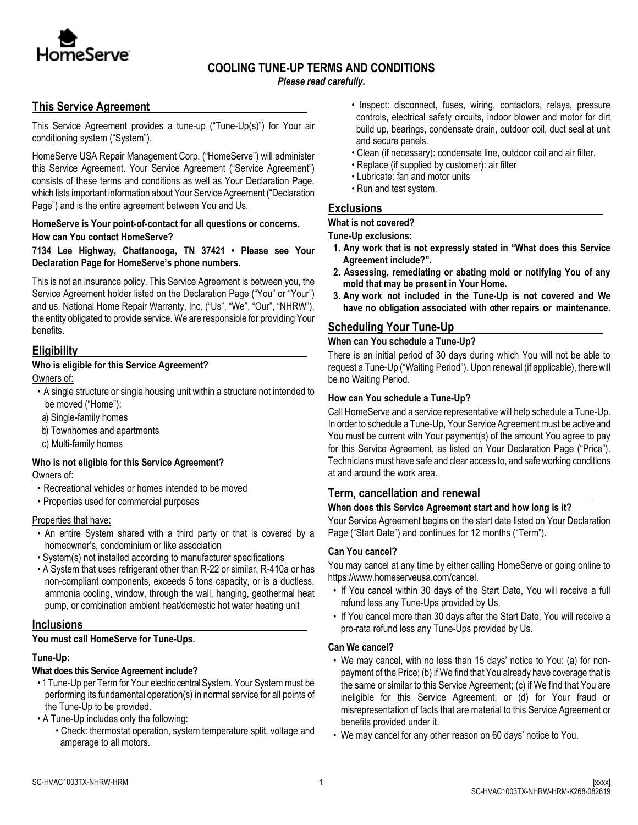

# **COOLING TUNE-UP TERMS AND CONDITIONS**

*Please read carefully.*

# **This Service Agreement**

This Service Agreement provides a tune-up ("Tune-Up(s)") for Your air conditioning system ("System").

HomeServe USA Repair Management Corp. ("HomeServe") will administer this Service Agreement. Your Service Agreement ("Service Agreement") consists of these terms and conditions as well as Your Declaration Page, which lists important information about Your Service Agreement ("Declaration Page") and is the entire agreement between You and Us.

#### **HomeServe is Your point-of-contact for all questions or concerns. How can You contact HomeServe?**

**7134 Lee Highway, Chattanooga, TN 37421 • Please see Your Declaration Page for HomeServe's phone numbers.** 

This is not an insurance policy. This Service Agreement is between you, the Service Agreement holder listed on the Declaration Page ("You" or "Your") and us, National Home Repair Warranty, Inc. ("Us", "We", "Our", "NHRW"), the entity obligated to provide service. We are responsible for providing Your benefits.

# **Eligibility**

# **Who is eligible for this Service Agreement?**

Owners of:

- A single structure or single housing unit within a structure not intended to be moved ("Home"):
- a) Single-family homes
- b) Townhomes and apartments
- c) Multi-family homes

#### **Who is not eligible for this Service Agreement?** Owners of:

- Recreational vehicles or homes intended to be moved
- Properties used for commercial purposes

# Properties that have:

- An entire System shared with a third party or that is covered by a homeowner's, condominium or like association
- System(s) not installed according to manufacturer specifications
- A System that uses refrigerant other than R-22 or similar, R-410a or has non-compliant components, exceeds 5 tons capacity, or is a ductless, ammonia cooling, window, through the wall, hanging, geothermal heat pump, or combination ambient heat/domestic hot water heating unit

# **Inclusions**

**You must call HomeServe for Tune-Ups.**

# **Tune-Up:**

# **What does this Service Agreement include?**

- 1 Tune-Up per Term for Your electric central System. Your System must be performing its fundamental operation(s) in normal service for all points of the Tune-Up to be provided.
- A Tune-Up includes only the following:
	- Check: thermostat operation, system temperature split, voltage and amperage to all motors.
- Inspect: disconnect, fuses, wiring, contactors, relays, pressure controls, electrical safety circuits, indoor blower and motor for dirt build up, bearings, condensate drain, outdoor coil, duct seal at unit and secure panels.
- Clean (if necessary): condensate line, outdoor coil and air filter.
- Replace (if supplied by customer): air filter
- Lubricate: fan and motor units
- Run and test system.

# **Exclusions**

# **What is not covered?**

**Tune-Up exclusions:**

- **1. Any work that is not expressly stated in "What does this Service Agreement include?".**
- **2. Assessing, remediating or abating mold or notifying You of any mold that may be present in Your Home.**
- **3. Any work not included in the Tune-Up is not covered and We have no obligation associated with other repairs or maintenance.**

# **Scheduling Your Tune-Up**

# **When can You schedule a Tune-Up?**

There is an initial period of 30 days during which You will not be able to request a Tune-Up ("Waiting Period"). Upon renewal (if applicable), there will be no Waiting Period.

# **How can You schedule a Tune-Up?**

Call HomeServe and a service representative will help schedule a Tune-Up. In order to schedule a Tune-Up, Your Service Agreement must be active and You must be current with Your payment(s) of the amount You agree to pay for this Service Agreement, as listed on Your Declaration Page ("Price"). Technicians must have safe and clear access to, and safe working conditions at and around the work area.

# **Term, cancellation and renewal**

# **When does this Service Agreement start and how long is it?**

Your Service Agreement begins on the start date listed on Your Declaration Page ("Start Date") and continues for 12 months ("Term").

# **Can You cancel?**

You may cancel at any time by either calling HomeServe or going online to https://www.homeserveusa.com/cancel.

- If You cancel within 30 days of the Start Date, You will receive a full refund less any Tune-Ups provided by Us.
- If You cancel more than 30 days after the Start Date, You will receive a pro-rata refund less any Tune-Ups provided by Us.

# **Can We cancel?**

- We may cancel, with no less than 15 days' notice to You: (a) for nonpayment of the Price; (b) if We find that You already have coverage that is the same or similar to this Service Agreement; (c) if We find that You are ineligible for this Service Agreement; or (d) for Your fraud or misrepresentation of facts that are material to this Service Agreement or benefits provided under it.
- We may cancel for any other reason on 60 days' notice to You.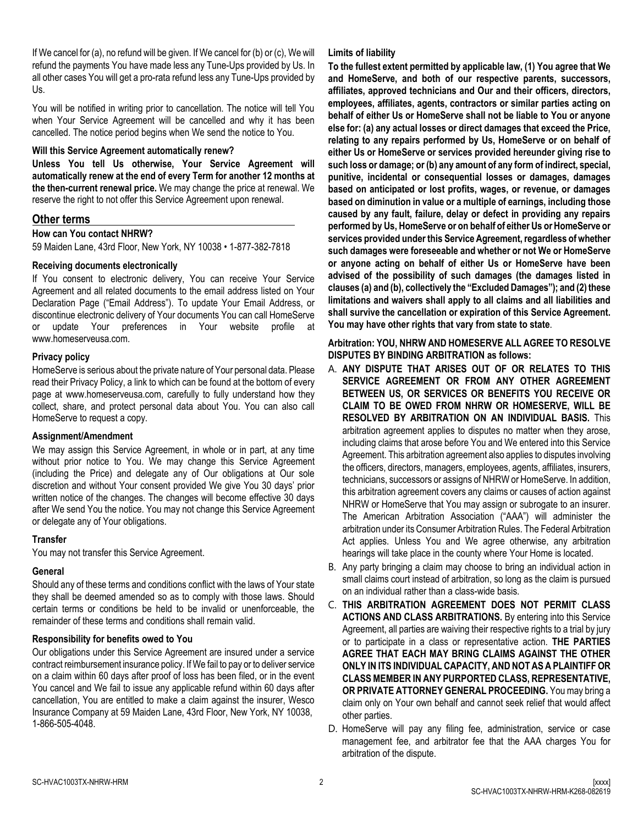If We cancel for (a), no refund will be given. If We cancel for (b) or (c), We will refund the payments You have made less any Tune-Ups provided by Us. In all other cases You will get a pro-rata refund less any Tune-Ups provided by Us.

You will be notified in writing prior to cancellation. The notice will tell You when Your Service Agreement will be cancelled and why it has been cancelled. The notice period begins when We send the notice to You.

#### **Will this Service Agreement automatically renew?**

**Unless You tell Us otherwise, Your Service Agreement will automatically renew at the end of every Term for another 12 months at the then-current renewal price.** We may change the price at renewal. We reserve the right to not offer this Service Agreement upon renewal.

# **Other terms**

#### **How can You contact NHRW?**

59 Maiden Lane, 43rd Floor, New York, NY 10038 • 1-877-382-7818

#### **Receiving documents electronically**

If You consent to electronic delivery, You can receive Your Service Agreement and all related documents to the email address listed on Your Declaration Page ("Email Address"). To update Your Email Address, or discontinue electronic delivery of Your documents You can call HomeServe or update Your preferences in Your website profile at www.homeserveusa.com.

#### **Privacy policy**

HomeServe is serious about the private nature of Your personal data. Please read their Privacy Policy, a link to which can be found at the bottom of every page at www.homeserveusa.com, carefully to fully understand how they collect, share, and protect personal data about You. You can also call HomeServe to request a copy.

#### **Assignment/Amendment**

We may assign this Service Agreement, in whole or in part, at any time without prior notice to You. We may change this Service Agreement (including the Price) and delegate any of Our obligations at Our sole discretion and without Your consent provided We give You 30 days' prior written notice of the changes. The changes will become effective 30 days after We send You the notice. You may not change this Service Agreement or delegate any of Your obligations.

#### **Transfer**

You may not transfer this Service Agreement.

#### **General**

Should any of these terms and conditions conflict with the laws of Your state they shall be deemed amended so as to comply with those laws. Should certain terms or conditions be held to be invalid or unenforceable, the remainder of these terms and conditions shall remain valid.

#### **Responsibility for benefits owed to You**

Our obligations under this Service Agreement are insured under a service contract reimbursement insurance policy. If We fail to pay or to deliver service on a claim within 60 days after proof of loss has been filed, or in the event You cancel and We fail to issue any applicable refund within 60 days after cancellation, You are entitled to make a claim against the insurer, Wesco Insurance Company at 59 Maiden Lane, 43rd Floor, New York, NY 10038, 1-866-505-4048.

#### **Limits of liability**

**To the fullest extent permitted by applicable law, (1) You agree that We and HomeServe, and both of our respective parents, successors, affiliates, approved technicians and Our and their officers, directors, employees, affiliates, agents, contractors or similar parties acting on behalf of either Us or HomeServe shall not be liable to You or anyone else for: (a) any actual losses or direct damages that exceed the Price, relating to any repairs performed by Us, HomeServe or on behalf of either Us or HomeServe or services provided hereunder giving rise to such loss or damage; or (b) any amount of any form of indirect, special, punitive, incidental or consequential losses or damages, damages based on anticipated or lost profits, wages, or revenue, or damages based on diminution in value or a multiple of earnings, including those caused by any fault, failure, delay or defect in providing any repairs performed by Us, HomeServe or on behalf of either Us or HomeServe or services provided under this Service Agreement, regardless of whether such damages were foreseeable and whether or not We or HomeServe or anyone acting on behalf of either Us or HomeServe have been advised of the possibility of such damages (the damages listed in clauses (a) and (b), collectively the "Excluded Damages"); and (2) these limitations and waivers shall apply to all claims and all liabilities and shall survive the cancellation or expiration of this Service Agreement. You may have other rights that vary from state to state**.

#### **Arbitration: YOU, NHRW AND HOMESERVE ALL AGREE TO RESOLVE DISPUTES BY BINDING ARBITRATION as follows:**

- A. **ANY DISPUTE THAT ARISES OUT OF OR RELATES TO THIS SERVICE AGREEMENT OR FROM ANY OTHER AGREEMENT BETWEEN US, OR SERVICES OR BENEFITS YOU RECEIVE OR CLAIM TO BE OWED FROM NHRW OR HOMESERVE, WILL BE RESOLVED BY ARBITRATION ON AN INDIVIDUAL BASIS.** This arbitration agreement applies to disputes no matter when they arose, including claims that arose before You and We entered into this Service Agreement. This arbitration agreement also applies to disputes involving the officers, directors, managers, employees, agents, affiliates, insurers, technicians, successors or assigns of NHRW or HomeServe. In addition, this arbitration agreement covers any claims or causes of action against NHRW or HomeServe that You may assign or subrogate to an insurer. The American Arbitration Association ("AAA") will administer the arbitration under its Consumer Arbitration Rules. The Federal Arbitration Act applies. Unless You and We agree otherwise, any arbitration hearings will take place in the county where Your Home is located.
- B. Any party bringing a claim may choose to bring an individual action in small claims court instead of arbitration, so long as the claim is pursued on an individual rather than a class-wide basis.
- C. **THIS ARBITRATION AGREEMENT DOES NOT PERMIT CLASS ACTIONS AND CLASS ARBITRATIONS.** By entering into this Service Agreement, all parties are waiving their respective rights to a trial by jury or to participate in a class or representative action. **THE PARTIES AGREE THAT EACH MAY BRING CLAIMS AGAINST THE OTHER ONLY IN ITS INDIVIDUAL CAPACITY, AND NOT AS A PLAINTIFF OR CLASS MEMBER IN ANY PURPORTED CLASS, REPRESENTATIVE, OR PRIVATE ATTORNEY GENERAL PROCEEDING.** You may bring a claim only on Your own behalf and cannot seek relief that would affect other parties.
- D. HomeServe will pay any filing fee, administration, service or case management fee, and arbitrator fee that the AAA charges You for arbitration of the dispute.